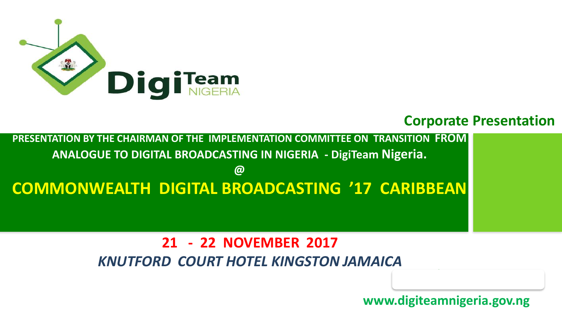

#### **Corporate Presentation**

**PRESENTATION BY THE CHAIRMAN OF THE IMPLEMENTATION COMMITTEE ON TRANSITION FROM ANALOGUE TO DIGITAL BROADCASTING IN NIGERIA - DigiTeam Nigeria. @ COMMONWEALTH DIGITAL BROADCASTING '17 CARIBBEAN**

#### **21 - 22 NOVEMBER 2017** *KNUTFORD COURT HOTEL KINGSTON JAMAICA*

**www.digiteamnigeria.gov.ng**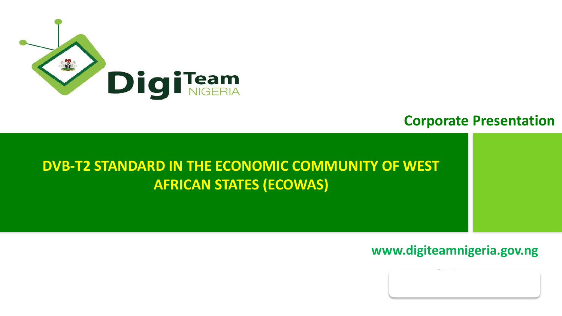

#### **Corporate Presentation**

### **DVB-T2 STANDARD IN THE ECONOMIC COMMUNITY OF WEST AFRICAN STATES (ECOWAS)**

#### **www.digiteamnigeria.gov.ng**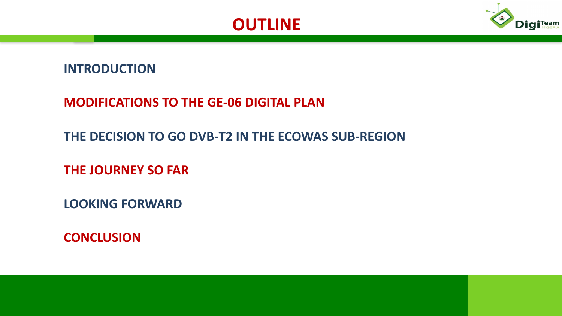



#### **INTRODUCTION**

**MODIFICATIONS TO THE GE-06 DIGITAL PLAN**

**THE DECISION TO GO DVB-T2 IN THE ECOWAS SUB-REGION**

**THE JOURNEY SO FAR**

**LOOKING FORWARD**

**CONCLUSION**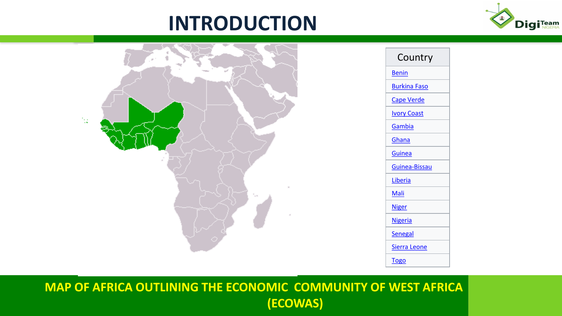## **INTRODUCTION**





**MAP OF AFRICA OUTLINING THE ECONOMIC COMMUNITY OF WEST AFRICA (ECOWAS)**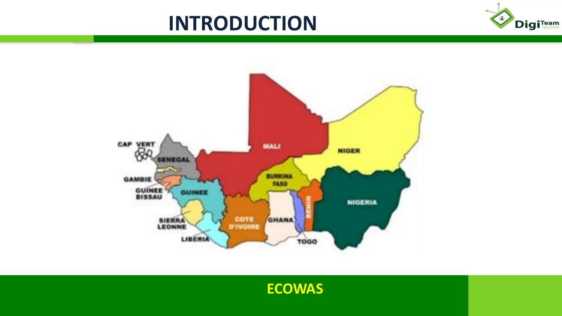## **INTRODUCTION**





#### **ECOWAS**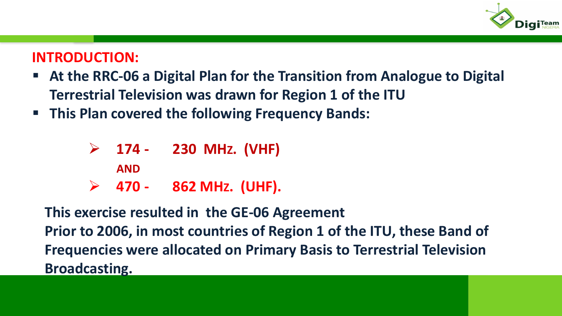

#### **INTRODUCTION:**

- **E** At the RRC-06 a Digital Plan for the Transition from Analogue to Digital **Terrestrial Television was drawn for Region 1 of the ITU**
- **This Plan covered the following Frequency Bands:**

| $\triangleright$ 174 - | <b>230 MHz. (VHF)</b> |
|------------------------|-----------------------|
| <b>AND</b>             |                       |
| $\triangleright$ 470 - | 862 MHz. (UHF).       |

**This exercise resulted in the GE-06 Agreement Prior to 2006, in most countries of Region 1 of the ITU, these Band of Frequencies were allocated on Primary Basis to Terrestrial Television Broadcasting.**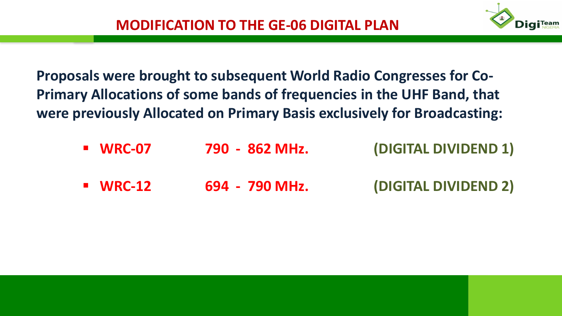

**Proposals were brought to subsequent World Radio Congresses for Co-Primary Allocations of some bands of frequencies in the UHF Band, that were previously Allocated on Primary Basis exclusively for Broadcasting:**

- **WRC-07 790 - 862 MHz. (DIGITAL DIVIDEND 1)**
- **WRC-12 694 - 790 MHz. (DIGITAL DIVIDEND 2)**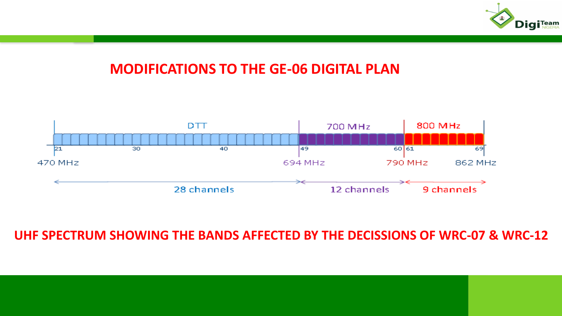

#### **MODIFICATIONS TO THE GE-06 DIGITAL PLAN**



#### **UHF SPECTRUM SHOWING THE BANDS AFFECTED BY THE DECISSIONS OF WRC-07 & WRC-12**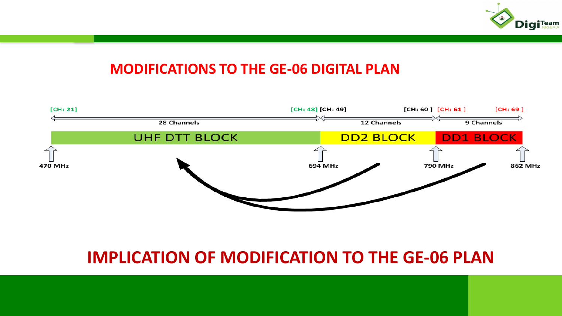

#### **MODIFICATIONS TO THE GE-06 DIGITAL PLAN**



#### **IMPLICATION OF MODIFICATION TO THE GE-06 PLAN**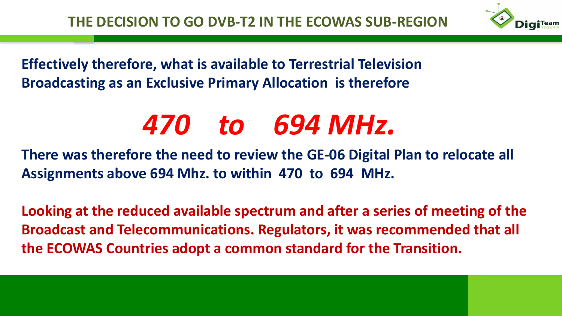

**Effectively therefore, what is available to Terrestrial Television Broadcasting as an Exclusive Primary Allocation is therefore** 

## *470 to 694 MHz.*

**There was therefore the need to review the GE-06 Digital Plan to relocate all Assignments above 694 Mhz. to within 470 to 694 MHz.**

**Looking at the reduced available spectrum and after a series of meeting of the Broadcast and Telecommunications. Regulators, it was recommended that all the ECOWAS Countries adopt a common standard for the Transition.**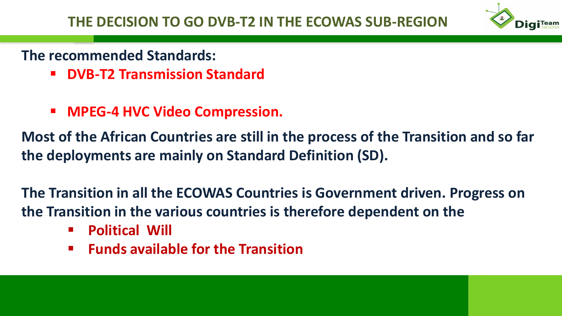

**The recommended Standards:**

- **DVB-T2 Transmission Standard**
- **MPEG-4 HVC Video Compression.**

**Most of the African Countries are still in the process of the Transition and so far the deployments are mainly on Standard Definition (SD).** 

**The Transition in all the ECOWAS Countries is Government driven. Progress on the Transition in the various countries is therefore dependent on the** 

- **Political Will**
- **Funds available for the Transition**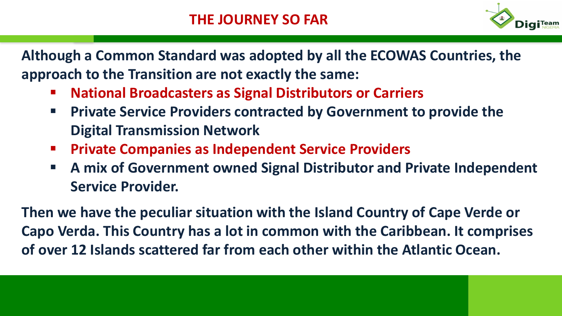

**Although a Common Standard was adopted by all the ECOWAS Countries, the approach to the Transition are not exactly the same:**

- **National Broadcasters as Signal Distributors or Carriers**
- Private Service Providers contracted by Government to provide the **Digital Transmission Network**
- **Private Companies as Independent Service Providers**
- A mix of Government owned Signal Distributor and Private Independent **Service Provider.**

**Then we have the peculiar situation with the Island Country of Cape Verde or Capo Verda. This Country has a lot in common with the Caribbean. It comprises of over 12 Islands scattered far from each other within the Atlantic Ocean.**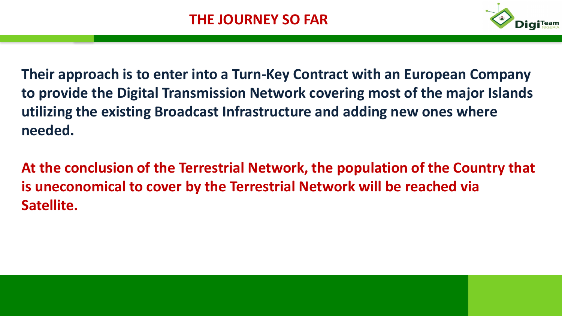

**Their approach is to enter into a Turn-Key Contract with an European Company to provide the Digital Transmission Network covering most of the major Islands utilizing the existing Broadcast Infrastructure and adding new ones where needed.**

**At the conclusion of the Terrestrial Network, the population of the Country that is uneconomical to cover by the Terrestrial Network will be reached via Satellite.**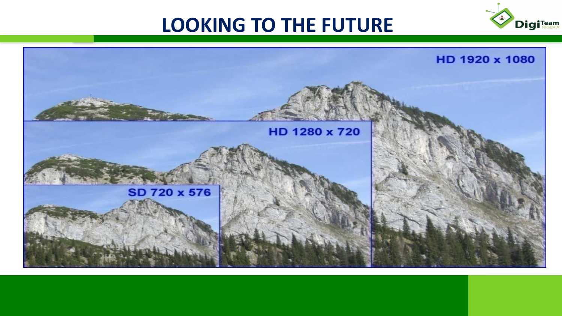## **LOOKING TO THE FUTURE**



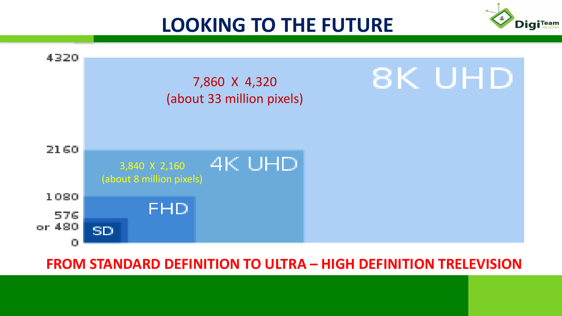

## **LOOKING TO THE FUTURE**



#### **FROM STANDARD DEFINITION TO ULTRA – HIGH DEFINITION TRELEVISION**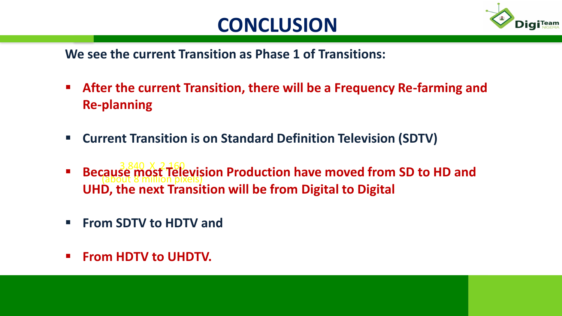## **CONCLUSION**



**We see the current Transition as Phase 1 of Transitions:**

- **After the current Transition, there will be a Frequency Re-farming and Re-planning**
- **Current Transition is on Standard Definition Television (SDTV)**
- 3,840 X 2,160 ■ Because most Television Production have moved from SD to HD and **UHD, the next Transition will be from Digital to Digital**
- **From SDTV to HDTV and**
- **From HDTV to UHDTV.**